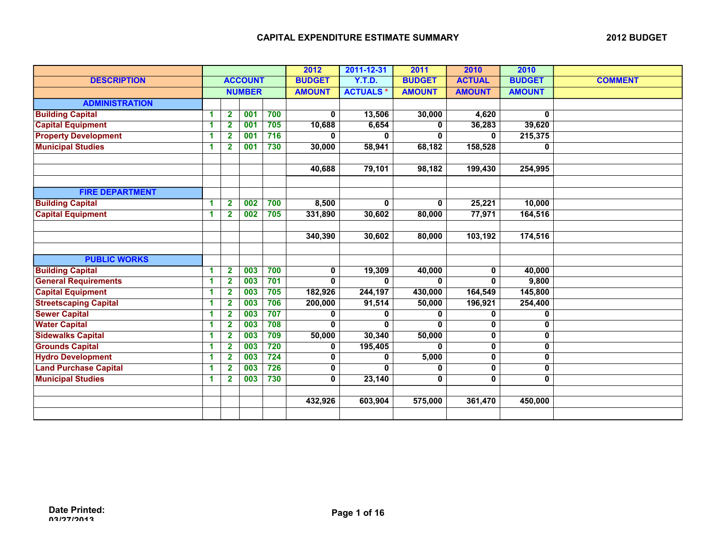|                              |    |                         |                | 2012 | 2011-12-31    | 2011            | 2010          | 2010                    |               |                |
|------------------------------|----|-------------------------|----------------|------|---------------|-----------------|---------------|-------------------------|---------------|----------------|
| <b>DESCRIPTION</b>           |    |                         | <b>ACCOUNT</b> |      | <b>BUDGET</b> | <b>Y.T.D.</b>   | <b>BUDGET</b> | <b>ACTUAL</b>           | <b>BUDGET</b> | <b>COMMENT</b> |
|                              |    |                         | <b>NUMBER</b>  |      | <b>AMOUNT</b> | <b>ACTUALS*</b> | <b>AMOUNT</b> | <b>AMOUNT</b>           | <b>AMOUNT</b> |                |
| <b>ADMINISTRATION</b>        |    |                         |                |      |               |                 |               |                         |               |                |
| <b>Building Capital</b>      | 1  | $\mathbf{2}$            | 001            | 700  | $\mathbf 0$   | 13,506          | 30,000        | 4,620                   | 0             |                |
| <b>Capital Equipment</b>     | 1  | $\overline{\mathbf{2}}$ | 001            | 705  | 10,688        | 6,654           | 0             | 36,283                  | 39,620        |                |
| <b>Property Development</b>  | 1  | $\mathbf{2}$            | 001            | 716  | 0             |                 | 0             | 0                       | 215,375       |                |
| <b>Municipal Studies</b>     | 1  | $\mathbf{2}$            | 001            | 730  | 30,000        | 58,941          | 68,182        | 158,528                 | 0             |                |
|                              |    |                         |                |      |               |                 |               |                         |               |                |
|                              |    |                         |                |      | 40,688        | 79,101          | 98,182        | 199,430                 | 254,995       |                |
|                              |    |                         |                |      |               |                 |               |                         |               |                |
| <b>FIRE DEPARTMENT</b>       |    |                         |                |      |               |                 |               |                         |               |                |
| <b>Building Capital</b>      | 1  | $\overline{2}$          | 002            | 700  | 8,500         | 0               | $\mathbf{0}$  | 25,221                  | 10,000        |                |
| <b>Capital Equipment</b>     | 1  | $\mathbf{2}$            | 002            | 705  | 331,890       | 30,602          | 80,000        | 77,971                  | 164,516       |                |
|                              |    |                         |                |      |               |                 |               |                         |               |                |
|                              |    |                         |                |      | 340,390       | 30,602          | 80,000        | 103,192                 | 174,516       |                |
|                              |    |                         |                |      |               |                 |               |                         |               |                |
| <b>PUBLIC WORKS</b>          |    |                         |                |      |               |                 |               |                         |               |                |
| <b>Building Capital</b>      | 1  | $\overline{2}$          | 003            | 700  | $\mathbf 0$   | 19,309          | 40,000        | 0                       | 40,000        |                |
| <b>General Requirements</b>  | 1  | $\overline{2}$          | 003            | 701  | 0             | $\bf{0}$        | $\mathbf{0}$  | 0                       | 9,800         |                |
| <b>Capital Equipment</b>     | 1  | $\mathbf{2}$            | 003            | 705  | 182,926       | 244,197         | 430,000       | 164,549                 | 145,800       |                |
| <b>Streetscaping Capital</b> | 1  | $\overline{\mathbf{2}}$ | 003            | 706  | 200,000       | 91,514          | 50,000        | 196,921                 | 254,400       |                |
| <b>Sewer Capital</b>         | 1  | $\mathbf{2}$            | 003            | 707  | 0             | 0               | 0             | 0                       | 0             |                |
| <b>Water Capital</b>         | 1  | $\overline{2}$          | 003            | 708  | $\bf{0}$      | $\mathbf{0}$    | $\mathbf{0}$  | $\mathbf 0$             | 0             |                |
| <b>Sidewalks Capital</b>     | 1  | $\mathbf{2}$            | 003            | 709  | 50,000        | 30,340          | 50,000        | 0                       | 0             |                |
| <b>Grounds Capital</b>       | 1  | $\mathbf{2}$            | 003            | 720  | 0             | 195,405         | 0             | $\mathbf 0$             | 0             |                |
| <b>Hydro Development</b>     | -1 | $\mathbf{2}$            | 003            | 724  | 0             | 0               | 5,000         | 0                       | 0             |                |
| <b>Land Purchase Capital</b> | 1  | $\mathbf{2}$            | 003            | 726  | 0             | $\bf{0}$        | $\mathbf{0}$  | $\overline{\mathbf{0}}$ | 0             |                |
| <b>Municipal Studies</b>     | 1  | $\mathbf{2}$            | 003            | 730  | 0             | 23,140          | 0             | 0                       | 0             |                |
|                              |    |                         |                |      |               |                 |               |                         |               |                |
|                              |    |                         |                |      | 432,926       | 603,904         | 575,000       | 361,470                 | 450,000       |                |
|                              |    |                         |                |      |               |                 |               |                         |               |                |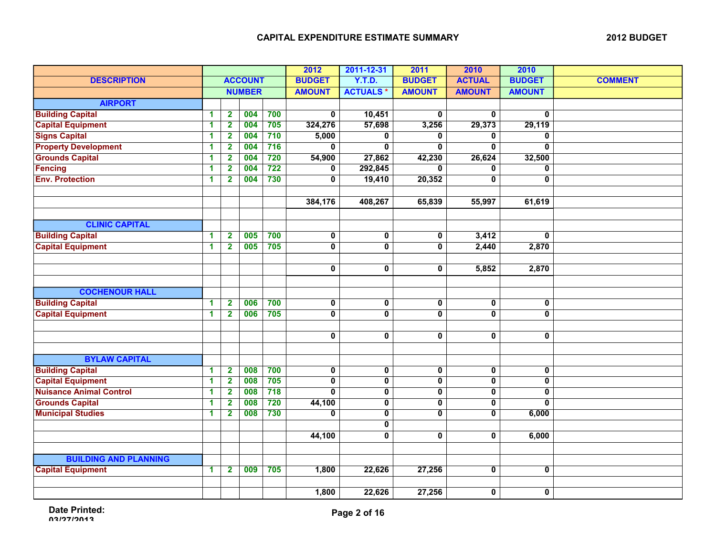|                                |   |                         |                | 2012             | 2011-12-31    | 2011                    | 2010                    | 2010                    |               |                |
|--------------------------------|---|-------------------------|----------------|------------------|---------------|-------------------------|-------------------------|-------------------------|---------------|----------------|
| <b>DESCRIPTION</b>             |   |                         | <b>ACCOUNT</b> |                  | <b>BUDGET</b> | <b>Y.T.D.</b>           | <b>BUDGET</b>           | <b>ACTUAL</b>           | <b>BUDGET</b> | <b>COMMENT</b> |
|                                |   |                         | <b>NUMBER</b>  |                  | <b>AMOUNT</b> | <b>ACTUALS*</b>         | <b>AMOUNT</b>           | <b>AMOUNT</b>           | <b>AMOUNT</b> |                |
| <b>AIRPORT</b>                 |   |                         |                |                  |               |                         |                         |                         |               |                |
| <b>Building Capital</b>        | 1 | $\overline{\mathbf{2}}$ | 004            | 700              | $\mathbf 0$   | 10,451                  | 0                       | $\mathbf 0$             | 0             |                |
| <b>Capital Equipment</b>       | 1 | $\overline{\mathbf{2}}$ | 004            | 705              | 324,276       | 57,698                  | 3,256                   | 29,373                  | 29,119        |                |
| <b>Signs Capital</b>           | 1 | $\mathbf 2$             | 004            | 710              | 5,000         | 0                       | 0                       | 0                       | 0             |                |
| <b>Property Development</b>    | 1 | $\mathbf{2}$            | 004            | 716              | 0             | 0                       | 0                       | 0                       | 0             |                |
| <b>Grounds Capital</b>         | 1 | $\mathbf{2}$            | 004            | 720              | 54,900        | 27,862                  | 42,230                  | 26,624                  | 32,500        |                |
| <b>Fencing</b>                 | 1 | $\mathbf{2}$            | 004            | 722              | 0             | 292,845                 | 0                       | 0                       | 0             |                |
| <b>Env. Protection</b>         | 1 | $\mathbf{2}$            | 004            | 730              | 0             | 19,410                  | 20,352                  | $\mathbf 0$             | 0             |                |
|                                |   |                         |                |                  |               |                         |                         |                         |               |                |
|                                |   |                         |                |                  | 384,176       | 408,267                 | 65,839                  | 55,997                  | 61,619        |                |
|                                |   |                         |                |                  |               |                         |                         |                         |               |                |
| <b>CLINIC CAPITAL</b>          |   |                         |                |                  |               |                         |                         |                         |               |                |
| <b>Building Capital</b>        | 1 | $\overline{2}$          | 005            | 700              | 0             | $\overline{\textbf{0}}$ | 0                       | 3,412                   | $\mathbf{0}$  |                |
| <b>Capital Equipment</b>       | 1 | $\overline{2}$          | 005            | 705              | 0             | 0                       | 0                       | 2,440                   | 2,870         |                |
|                                |   |                         |                |                  |               |                         |                         |                         |               |                |
|                                |   |                         |                |                  | $\pmb{0}$     | $\pmb{0}$               | 0                       | 5,852                   | 2,870         |                |
|                                |   |                         |                |                  |               |                         |                         |                         |               |                |
| <b>COCHENOUR HALL</b>          |   |                         |                |                  |               |                         |                         |                         |               |                |
| <b>Building Capital</b>        | 1 | $\overline{2}$          | 006            | 700              | $\pmb{0}$     | $\pmb{0}$               | 0                       | 0                       | 0             |                |
| <b>Capital Equipment</b>       | 1 | $\overline{2}$          | 006            | 705              | 0             | $\overline{\mathbf{0}}$ | 0                       | $\mathbf 0$             | 0             |                |
|                                |   |                         |                |                  |               |                         |                         |                         |               |                |
|                                |   |                         |                |                  | 0             | 0                       | 0                       | $\mathbf 0$             | 0             |                |
|                                |   |                         |                |                  |               |                         |                         |                         |               |                |
| <b>BYLAW CAPITAL</b>           |   |                         |                |                  |               |                         |                         |                         |               |                |
| <b>Building Capital</b>        | 1 | $\overline{\mathbf{2}}$ | 008            | 700              | 0             | 0                       | $\overline{\mathbf{0}}$ | $\overline{\mathbf{0}}$ | 0             |                |
| <b>Capital Equipment</b>       | 1 | $\overline{\mathbf{2}}$ | 008            | 705              | 0             | $\overline{\mathbf{0}}$ | 0                       | $\mathbf 0$             | 0             |                |
| <b>Nuisance Animal Control</b> | 1 | $\overline{\mathbf{2}}$ | 008            | 718              | $\mathbf{0}$  | $\overline{\mathbf{0}}$ | 0                       | $\mathbf 0$             | 0             |                |
| <b>Grounds Capital</b>         | 1 | $\overline{2}$          | 008            | 720              | 44,100        | 0                       | 0                       | 0                       | 0             |                |
| <b>Municipal Studies</b>       | 1 | $\mathbf{2}$            | 008            | $\overline{730}$ | 0             | 0                       | 0                       | 0                       | 6,000         |                |
|                                |   |                         |                |                  |               | $\pmb{0}$               |                         |                         |               |                |
|                                |   |                         |                |                  | 44,100        | 0                       | 0                       | 0                       | 6,000         |                |
|                                |   |                         |                |                  |               |                         |                         |                         |               |                |
|                                |   |                         |                |                  |               |                         |                         |                         |               |                |
| <b>BUILDING AND PLANNING</b>   |   |                         |                |                  |               |                         |                         |                         |               |                |
| <b>Capital Equipment</b>       | 1 | $\mathbf{2}$            | 009            | 705              | 1,800         | 22,626                  | 27,256                  | 0                       | 0             |                |
|                                |   |                         |                |                  |               |                         |                         |                         |               |                |
|                                |   |                         |                |                  | 1,800         | 22,626                  | 27,256                  | $\mathbf 0$             | 0             |                |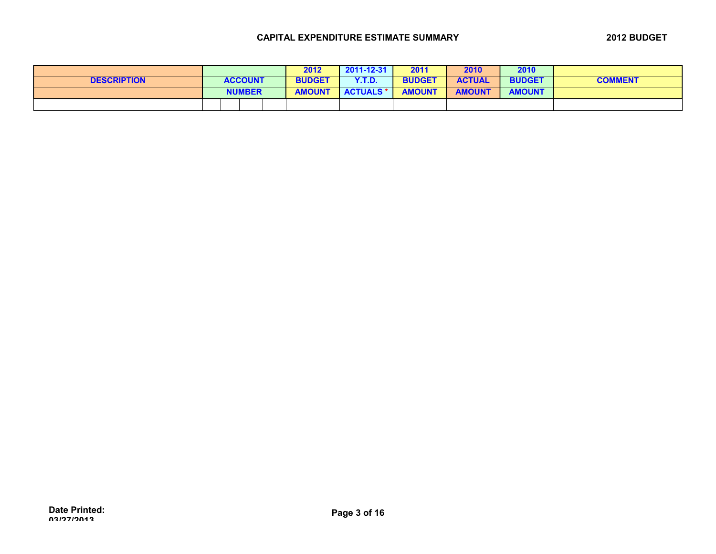|                    |                | 2012          | 2011-12-31       | 2011          | 2010          | 2010          |                |
|--------------------|----------------|---------------|------------------|---------------|---------------|---------------|----------------|
| <b>DESCRIPTION</b> | <b>ACCOUNT</b> | <b>BUDGET</b> | Y.T.D.           | <b>BUDGET</b> | <b>ACTUAL</b> | <b>BUDGET</b> | <b>COMMENT</b> |
|                    | <b>NUMBER</b>  | <b>AMOUNT</b> | <b>ACTUALS *</b> | <b>AMOUNT</b> | <b>AMOUNT</b> | <b>AMOUNT</b> |                |
|                    |                |               |                  |               |               |               |                |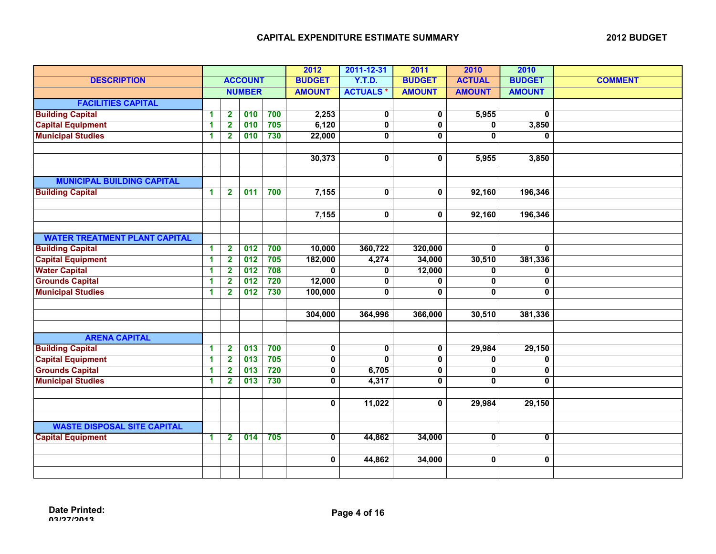|                                      |              |                         |                  | 2012             | 2011-12-31    | 2011                    | 2010           | 2010           |               |                |
|--------------------------------------|--------------|-------------------------|------------------|------------------|---------------|-------------------------|----------------|----------------|---------------|----------------|
| <b>DESCRIPTION</b>                   |              |                         | <b>ACCOUNT</b>   |                  | <b>BUDGET</b> | <b>Y.T.D.</b>           | <b>BUDGET</b>  | <b>ACTUAL</b>  | <b>BUDGET</b> | <b>COMMENT</b> |
|                                      |              |                         | <b>NUMBER</b>    |                  | <b>AMOUNT</b> | <b>ACTUALS*</b>         | <b>AMOUNT</b>  | <b>AMOUNT</b>  | <b>AMOUNT</b> |                |
| <b>FACILITIES CAPITAL</b>            |              |                         |                  |                  |               |                         |                |                |               |                |
| <b>Building Capital</b>              | 1            | $\overline{\mathbf{2}}$ | 010              | 700              | 2,253         | $\pmb{0}$               | 0              | 5,955          | 0             |                |
| <b>Capital Equipment</b>             | 1            | $\mathbf{2}$            | 010              | 705              | 6,120         | 0                       | $\mathbf{0}$   | $\mathbf{0}$   | 3,850         |                |
| <b>Municipal Studies</b>             | 1            | $\overline{2}$          | 010              | 730              | 22,000        | $\overline{\mathbf{0}}$ | $\overline{0}$ | $\overline{0}$ | $\bf{0}$      |                |
|                                      |              |                         |                  |                  |               |                         |                |                |               |                |
|                                      |              |                         |                  |                  | 30,373        | $\mathbf 0$             | 0              | 5,955          | 3,850         |                |
|                                      |              |                         |                  |                  |               |                         |                |                |               |                |
| <b>MUNICIPAL BUILDING CAPITAL</b>    |              |                         |                  |                  |               |                         |                |                |               |                |
| <b>Building Capital</b>              | 1            | $\overline{2}$          | 011              | 700              | 7,155         | 0                       | 0              | 92,160         | 196,346       |                |
|                                      |              |                         |                  |                  |               |                         |                |                |               |                |
|                                      |              |                         |                  |                  | 7,155         | $\pmb{0}$               | $\mathbf{0}$   | 92,160         | 196,346       |                |
|                                      |              |                         |                  |                  |               |                         |                |                |               |                |
| <b>WATER TREATMENT PLANT CAPITAL</b> |              |                         |                  |                  |               |                         |                |                |               |                |
| <b>Building Capital</b>              | $\mathbf{1}$ | $\overline{\mathbf{2}}$ | 012              | 700              | 10,000        | 360,722                 | 320,000        | $\mathbf{0}$   | $\mathbf{0}$  |                |
| <b>Capital Equipment</b>             | 1            | $\mathbf{2}$            | 012              | $\overline{705}$ | 182,000       | 4,274                   | 34,000         | 30,510         | 381,336       |                |
| <b>Water Capital</b>                 | 1            | $\overline{2}$          | $\overline{012}$ | 708              | $\bf{0}$      | 0                       | 12,000         | 0              | 0             |                |
| <b>Grounds Capital</b>               | 1            | $\mathbf{2}$            | 012              | $\overline{720}$ | 12,000        | $\mathbf 0$             | 0              | 0              | 0             |                |
| <b>Municipal Studies</b>             | 1            | $\mathbf{2}$            | 012              | 730              | 100,000       | $\mathbf 0$             | 0              | $\mathbf{0}$   | $\mathbf{0}$  |                |
|                                      |              |                         |                  |                  |               |                         |                |                |               |                |
|                                      |              |                         |                  |                  | 304,000       | 364,996                 | 366,000        | 30,510         | 381,336       |                |
|                                      |              |                         |                  |                  |               |                         |                |                |               |                |
| <b>ARENA CAPITAL</b>                 |              |                         |                  |                  |               |                         |                |                |               |                |
| <b>Building Capital</b>              | 1            | $\overline{\mathbf{2}}$ | 013              | 700              | 0             | 0                       | 0              | 29,984         | 29,150        |                |
| <b>Capital Equipment</b>             | 1            | $\overline{2}$          | 013              | 705              | 0             | $\mathbf 0$             | 0              | $\mathbf 0$    | 0             |                |
| <b>Grounds Capital</b>               | 1            | $\mathbf{2}$            | 013              | 720              | 0             | 6,705                   | 0              | $\mathbf 0$    | 0             |                |
| <b>Municipal Studies</b>             | 1            | $\mathbf{2}$            | 013              | 730              | 0             | 4,317                   | 0              | $\mathbf{0}$   | $\mathbf{0}$  |                |
|                                      |              |                         |                  |                  |               |                         |                |                |               |                |
|                                      |              |                         |                  |                  | 0             | 11,022                  | 0              | 29,984         | 29,150        |                |
|                                      |              |                         |                  |                  |               |                         |                |                |               |                |
| <b>WASTE DISPOSAL SITE CAPITAL</b>   |              |                         |                  |                  |               |                         |                |                |               |                |
| <b>Capital Equipment</b>             | 1.           | $\mathbf{2}$            | 014              | 705              | $\mathbf 0$   | 44,862                  | 34,000         | $\mathbf 0$    | $\mathbf 0$   |                |
|                                      |              |                         |                  |                  |               |                         |                |                |               |                |
|                                      |              |                         |                  |                  | 0             | 44,862                  | 34,000         | $\mathbf 0$    | 0             |                |
|                                      |              |                         |                  |                  |               |                         |                |                |               |                |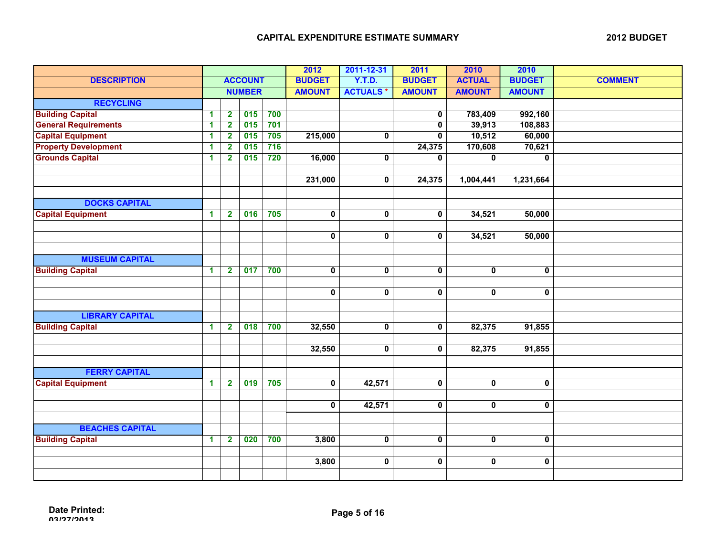|                             |                      |                         | 2012           | 2011-12-31 | 2011                    | 2010                    | 2010                    |                         |                         |                |
|-----------------------------|----------------------|-------------------------|----------------|------------|-------------------------|-------------------------|-------------------------|-------------------------|-------------------------|----------------|
| <b>DESCRIPTION</b>          |                      |                         | <b>ACCOUNT</b> |            | <b>BUDGET</b>           | <b>Y.T.D.</b>           | <b>BUDGET</b>           | <b>ACTUAL</b>           | <b>BUDGET</b>           | <b>COMMENT</b> |
|                             |                      |                         | <b>NUMBER</b>  |            | <b>AMOUNT</b>           | <b>ACTUALS*</b>         | <b>AMOUNT</b>           | <b>AMOUNT</b>           | <b>AMOUNT</b>           |                |
| <b>RECYCLING</b>            |                      |                         |                |            |                         |                         |                         |                         |                         |                |
| <b>Building Capital</b>     | $\mathbf{1}$         | $\mathbf{2}$            | 015            | 700        |                         |                         | 0                       | 783,409                 | 992,160                 |                |
| <b>General Requirements</b> | $\blacktriangleleft$ | $\overline{2}$          | 015            | 701        |                         |                         | $\mathbf 0$             | 39,913                  | 108,883                 |                |
| <b>Capital Equipment</b>    | 1                    | $\mathbf{2}$            | 015            | 705        | 215,000                 | $\overline{\mathbf{0}}$ | $\overline{0}$          | 10,512                  | 60,000                  |                |
| <b>Property Development</b> | 1                    | $\overline{2}$          | 015            | 716        |                         |                         | 24,375                  | 170,608                 | 70,621                  |                |
| <b>Grounds Capital</b>      | $\blacktriangleleft$ | $\mathbf{2}$            | 015            | 720        | 16,000                  | $\mathbf 0$             | $\mathbf{0}$            | $\overline{0}$          | $\overline{0}$          |                |
|                             |                      |                         |                |            |                         |                         |                         |                         |                         |                |
|                             |                      |                         |                |            | 231,000                 | $\mathbf 0$             | 24,375                  | 1,004,441               | 1,231,664               |                |
|                             |                      |                         |                |            |                         |                         |                         |                         |                         |                |
| <b>DOCKS CAPITAL</b>        |                      |                         |                |            |                         |                         |                         |                         |                         |                |
| <b>Capital Equipment</b>    | $\mathbf{1}$         | $\mathbf{2}$            | 016            | 705        | $\overline{\mathbf{0}}$ | $\overline{\mathbf{0}}$ | $\overline{\mathbf{0}}$ | 34,521                  | 50,000                  |                |
|                             |                      |                         |                |            |                         |                         |                         |                         |                         |                |
|                             |                      |                         |                |            | 0                       | $\mathbf 0$             | $\mathbf 0$             | 34,521                  | 50,000                  |                |
|                             |                      |                         |                |            |                         |                         |                         |                         |                         |                |
| <b>MUSEUM CAPITAL</b>       |                      |                         |                |            |                         |                         |                         |                         |                         |                |
| <b>Building Capital</b>     | $\mathbf{1}$         | $\overline{2}$          | 017            | 700        | $\overline{\mathbf{0}}$ | $\overline{\mathbf{0}}$ | $\overline{\mathbf{0}}$ | $\mathbf 0$             | $\overline{\mathbf{0}}$ |                |
|                             |                      |                         |                |            |                         |                         |                         |                         |                         |                |
|                             |                      |                         |                |            | 0                       | $\pmb{0}$               | $\mathbf 0$             | $\mathbf 0$             | 0                       |                |
|                             |                      |                         |                |            |                         |                         |                         |                         |                         |                |
| <b>LIBRARY CAPITAL</b>      |                      |                         |                |            |                         |                         |                         |                         |                         |                |
| <b>Building Capital</b>     | $\mathbf{1}$         | $\overline{\mathbf{2}}$ | 018            | 700        | 32,550                  | $\overline{\mathbf{0}}$ | $\overline{\mathbf{0}}$ | 82,375                  | 91,855                  |                |
|                             |                      |                         |                |            |                         |                         |                         |                         |                         |                |
|                             |                      |                         |                |            | 32,550                  | 0                       | $\mathbf 0$             | 82,375                  | 91,855                  |                |
|                             |                      |                         |                |            |                         |                         |                         |                         |                         |                |
| <b>FERRY CAPITAL</b>        |                      |                         |                |            |                         |                         |                         |                         |                         |                |
| <b>Capital Equipment</b>    | $\mathbf{1}$         | $\overline{\mathbf{2}}$ | 019            | 705        | $\overline{\mathbf{0}}$ | 42,571                  | $\overline{\mathbf{0}}$ | $\overline{\mathbf{0}}$ | $\overline{\mathbf{0}}$ |                |
|                             |                      |                         |                |            |                         |                         |                         |                         |                         |                |
|                             |                      |                         |                |            | $\mathbf 0$             | 42,571                  | $\mathbf 0$             | $\mathbf 0$             | 0                       |                |
|                             |                      |                         |                |            |                         |                         |                         |                         |                         |                |
| <b>BEACHES CAPITAL</b>      |                      |                         |                |            |                         |                         |                         |                         |                         |                |
| <b>Building Capital</b>     | $\mathbf 1$          | $\overline{\mathbf{2}}$ | 020            | 700        | 3,800                   | 0                       | $\overline{\mathbf{0}}$ | $\overline{\mathbf{0}}$ | $\overline{\mathbf{0}}$ |                |
|                             |                      |                         |                |            |                         |                         |                         |                         |                         |                |
|                             |                      |                         |                |            | 3,800                   | $\mathbf 0$             | $\mathbf 0$             | $\mathbf 0$             | $\mathbf 0$             |                |
|                             |                      |                         |                |            |                         |                         |                         |                         |                         |                |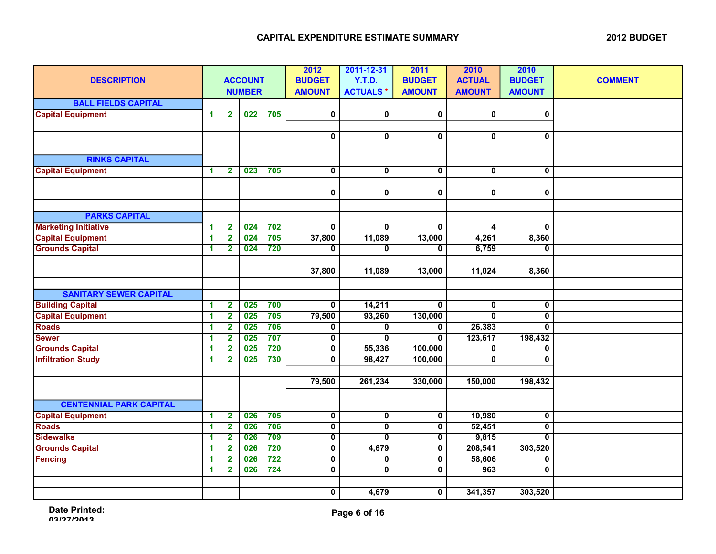|                                |                      |                         |                  | 2012             | 2011-12-31              | 2011                    | 2010          | 2010                    |               |                |
|--------------------------------|----------------------|-------------------------|------------------|------------------|-------------------------|-------------------------|---------------|-------------------------|---------------|----------------|
| <b>DESCRIPTION</b>             |                      |                         | <b>ACCOUNT</b>   |                  | <b>BUDGET</b>           | <b>Y.T.D.</b>           | <b>BUDGET</b> | <b>ACTUAL</b>           | <b>BUDGET</b> | <b>COMMENT</b> |
|                                |                      |                         | <b>NUMBER</b>    |                  | <b>AMOUNT</b>           | <b>ACTUALS*</b>         | <b>AMOUNT</b> | <b>AMOUNT</b>           | <b>AMOUNT</b> |                |
| <b>BALL FIELDS CAPITAL</b>     |                      |                         |                  |                  |                         |                         |               |                         |               |                |
| <b>Capital Equipment</b>       | $\blacktriangleleft$ | $\overline{\mathbf{2}}$ | $\overline{022}$ | 705              | $\pmb{0}$               | $\pmb{0}$               | 0             | $\pmb{0}$               | 0             |                |
|                                |                      |                         |                  |                  |                         |                         |               |                         |               |                |
|                                |                      |                         |                  |                  | 0                       | 0                       | 0             | 0                       | 0             |                |
|                                |                      |                         |                  |                  |                         |                         |               |                         |               |                |
| <b>RINKS CAPITAL</b>           |                      |                         |                  |                  |                         |                         |               |                         |               |                |
| <b>Capital Equipment</b>       | 1                    | $\mathbf{2}$            | 023              | 705              | $\overline{\textbf{0}}$ | 0                       | 0             | 0                       | 0             |                |
|                                |                      |                         |                  |                  |                         |                         |               |                         |               |                |
|                                |                      |                         |                  |                  | $\mathbf 0$             | $\pmb{0}$               | $\mathbf 0$   | 0                       | 0             |                |
|                                |                      |                         |                  |                  |                         |                         |               |                         |               |                |
| <b>PARKS CAPITAL</b>           |                      |                         |                  |                  |                         |                         |               |                         |               |                |
| <b>Marketing Initiative</b>    | $\blacktriangleleft$ | $\mathbf{2}$            | 024              | 702              | $\mathbf 0$             | $\mathbf 0$             | $\mathbf 0$   | 4                       | 0             |                |
| <b>Capital Equipment</b>       | 1                    | $\mathbf{2}$            | 024              | 705              | 37,800                  | 11,089                  | 13,000        | 4,261                   | 8,360         |                |
| <b>Grounds Capital</b>         | 1                    | $\mathbf{2}$            | 024              | $\overline{720}$ | 0                       | 0                       | 0             | 6,759                   | 0             |                |
|                                |                      |                         |                  |                  |                         |                         |               |                         |               |                |
|                                |                      |                         |                  |                  | 37,800                  | 11,089                  | 13,000        | 11,024                  | 8,360         |                |
|                                |                      |                         |                  |                  |                         |                         |               |                         |               |                |
| <b>SANITARY SEWER CAPITAL</b>  |                      |                         |                  |                  |                         |                         |               |                         |               |                |
| <b>Building Capital</b>        | $\blacktriangleleft$ | $\mathbf{2}$            | 025              | 700              | $\mathbf 0$             | 14,211                  | $\mathbf{0}$  | 0                       | 0             |                |
| <b>Capital Equipment</b>       | $\blacktriangleleft$ | $\mathbf{2}$            | 025              | 705              | 79,500                  | 93,260                  | 130,000       | 0                       | 0             |                |
| <b>Roads</b>                   | 1                    | $\mathbf{2}$            | 025              | 706              | 0                       | 0                       | 0             | 26,383                  | 0             |                |
| <b>Sewer</b>                   | 1                    | $\mathbf{2}$            | 025              | 707              | 0                       | $\mathbf 0$             | $\mathbf 0$   | 123,617                 | 198,432       |                |
| <b>Grounds Capital</b>         | 1                    | $\mathbf{2}$            | 025              | 720              | $\overline{\mathbf{0}}$ | 55,336                  | 100,000       | $\overline{\mathbf{0}}$ | 0             |                |
| <b>Infiltration Study</b>      | $\mathbf{1}$         | $\overline{2}$          | 025              | 730              | $\mathbf{0}$            | 98,427                  | 100,000       | $\mathbf{0}$            | 0             |                |
|                                |                      |                         |                  |                  |                         |                         |               |                         |               |                |
|                                |                      |                         |                  |                  | 79,500                  | 261,234                 | 330,000       | 150,000                 | 198,432       |                |
|                                |                      |                         |                  |                  |                         |                         |               |                         |               |                |
| <b>CENTENNIAL PARK CAPITAL</b> |                      |                         |                  |                  |                         |                         |               |                         |               |                |
| <b>Capital Equipment</b>       | $\blacktriangleleft$ | $\overline{\mathbf{2}}$ | 026              | 705              | $\mathbf 0$             | $\pmb{0}$               | $\mathbf 0$   | 10,980                  | 0             |                |
| <b>Roads</b>                   | $\blacktriangleleft$ | $\overline{\mathbf{2}}$ | 026              | 706              | $\overline{\mathbf{0}}$ | $\pmb{0}$               | $\mathbf 0$   | 52,451                  | $\mathbf 0$   |                |
| <b>Sidewalks</b>               | $\mathbf{1}$         | $\overline{2}$          | 026              | 709              | 0                       | $\mathbf{0}$            | $\mathbf 0$   | 9,815                   | 0             |                |
| <b>Grounds Capital</b>         | 1                    | $\mathbf{2}$            | 026              | 720              | $\mathbf 0$             | 4,679                   | 0             | 208,541                 | 303,520       |                |
| <b>Fencing</b>                 | 1                    | $\mathbf{2}$            | 026              | 722              | 0                       | 0                       | 0             | 58,606                  | 0             |                |
|                                | 1                    | $\mathbf{2}$            | 026              | $724$            | $\overline{\mathbf{0}}$ | $\overline{\mathbf{0}}$ | $\mathbf 0$   | 963                     | 0             |                |
|                                |                      |                         |                  |                  |                         |                         |               |                         |               |                |
|                                |                      |                         |                  |                  | $\mathbf 0$             | 4,679                   | 0             | 341,357                 | 303,520       |                |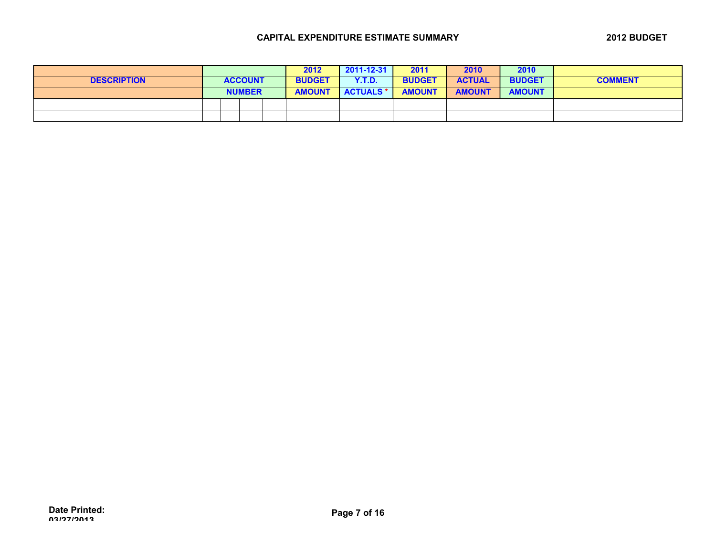|                    |  |                | 2012          | 2011-12-31       | 2011          | 2010          | 2010          |                |
|--------------------|--|----------------|---------------|------------------|---------------|---------------|---------------|----------------|
| <b>DESCRIPTION</b> |  | <b>ACCOUNT</b> | <b>BUDGET</b> | <b>Y.T.D.</b>    | <b>BUDGET</b> | <b>ACTUAL</b> | <b>BUDGET</b> | <b>COMMENT</b> |
|                    |  | <b>NUMBER</b>  | <b>AMOUNT</b> | <b>ACTUALS *</b> | <b>AMOUNT</b> | <b>AMOUNT</b> | <b>AMOUNT</b> |                |
|                    |  |                |               |                  |               |               |               |                |
|                    |  |                |               |                  |               |               |               |                |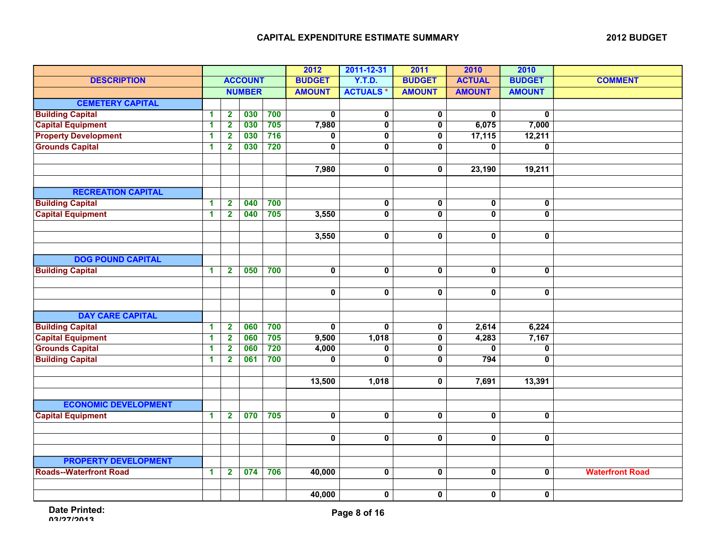|                               |              |                         |                | 2012  | 2011-12-31              | 2011                    | 2010                    | 2010                    |                         |                        |
|-------------------------------|--------------|-------------------------|----------------|-------|-------------------------|-------------------------|-------------------------|-------------------------|-------------------------|------------------------|
| <b>DESCRIPTION</b>            |              |                         | <b>ACCOUNT</b> |       | <b>BUDGET</b>           | <b>Y.T.D.</b>           | <b>BUDGET</b>           | <b>ACTUAL</b>           | <b>BUDGET</b>           | <b>COMMENT</b>         |
|                               |              |                         | <b>NUMBER</b>  |       | <b>AMOUNT</b>           | <b>ACTUALS*</b>         | <b>AMOUNT</b>           | <b>AMOUNT</b>           | <b>AMOUNT</b>           |                        |
| <b>CEMETERY CAPITAL</b>       |              |                         |                |       |                         |                         |                         |                         |                         |                        |
| <b>Building Capital</b>       | 1            | $\overline{2}$          | 030            | 700   | $\mathbf 0$             | $\pmb{0}$               | 0                       | $\mathbf 0$             | $\bf{0}$                |                        |
| <b>Capital Equipment</b>      | 1            | $\overline{2}$          | 030            | 705   | 7,980                   | $\pmb{0}$               | $\mathbf 0$             | 6,075                   | 7,000                   |                        |
| <b>Property Development</b>   | 1            | $\mathbf{2}$            | 030            | $716$ | 0                       | 0                       | $\mathbf 0$             | 17,115                  | 12,211                  |                        |
| <b>Grounds Capital</b>        | 1            | $\overline{2}$          | 030            | 720   | 0                       | $\overline{\mathbf{0}}$ | $\mathbf 0$             | $\mathbf 0$             | 0                       |                        |
|                               |              |                         |                |       |                         |                         |                         |                         |                         |                        |
|                               |              |                         |                |       | 7,980                   | $\pmb{0}$               | $\mathbf 0$             | 23,190                  | 19,211                  |                        |
|                               |              |                         |                |       |                         |                         |                         |                         |                         |                        |
| <b>RECREATION CAPITAL</b>     |              |                         |                |       |                         |                         |                         |                         |                         |                        |
| <b>Building Capital</b>       | 1            | $\mathbf{2}$            | 040            | 700   |                         | $\bf{0}$                | $\mathbf 0$             | 0                       | 0                       |                        |
| <b>Capital Equipment</b>      | 1            | $\overline{2}$          | 040            | 705   | 3,550                   | $\overline{\mathbf{0}}$ | $\overline{0}$          | $\overline{\mathbf{0}}$ | $\overline{\mathbf{0}}$ |                        |
|                               |              |                         |                |       |                         |                         |                         |                         |                         |                        |
|                               |              |                         |                |       | 3,550                   | $\pmb{0}$               | $\pmb{0}$               | 0                       | $\pmb{0}$               |                        |
|                               |              |                         |                |       |                         |                         |                         |                         |                         |                        |
| <b>DOG POUND CAPITAL</b>      |              |                         |                |       |                         |                         |                         |                         |                         |                        |
| <b>Building Capital</b>       | $\mathbf{1}$ | $\overline{\mathbf{2}}$ | 050            | 700   | $\overline{\mathbf{0}}$ | $\overline{\mathbf{0}}$ | $\mathbf 0$             | $\mathbf 0$             | $\pmb{0}$               |                        |
|                               |              |                         |                |       |                         |                         |                         |                         |                         |                        |
|                               |              |                         |                |       | $\pmb{0}$               | $\pmb{0}$               | $\pmb{0}$               | 0                       | $\pmb{0}$               |                        |
|                               |              |                         |                |       |                         |                         |                         |                         |                         |                        |
| <b>DAY CARE CAPITAL</b>       |              |                         |                |       |                         |                         |                         |                         |                         |                        |
| <b>Building Capital</b>       | 1            | $\mathbf{2}$            | 060            | 700   | $\mathbf{0}$            | $\mathbf 0$             | $\mathbf 0$             | 2,614                   | 6,224                   |                        |
| <b>Capital Equipment</b>      | 1            | $\overline{\mathbf{2}}$ | 060            | 705   | 9,500                   | 1,018                   | $\overline{\mathbf{0}}$ | 4,283                   | 7,167                   |                        |
| <b>Grounds Capital</b>        | 1            | $\overline{\mathbf{2}}$ | 060            | 720   | 4,000                   | 0                       | $\mathbf 0$             | 0                       | 0                       |                        |
| <b>Building Capital</b>       | 1            | $\mathbf{2}$            | 061            | 700   | 0                       | $\mathbf 0$             | $\mathbf 0$             | 794                     | 0                       |                        |
|                               |              |                         |                |       |                         |                         |                         |                         |                         |                        |
|                               |              |                         |                |       | 13,500                  | 1,018                   | $\mathbf 0$             | 7,691                   | 13,391                  |                        |
|                               |              |                         |                |       |                         |                         |                         |                         |                         |                        |
| <b>ECONOMIC DEVELOPMENT</b>   |              |                         |                |       |                         |                         |                         |                         |                         |                        |
| <b>Capital Equipment</b>      | $\mathbf{1}$ | $\overline{\mathbf{2}}$ | 070            | 705   | $\overline{\mathbf{0}}$ | $\overline{\mathbf{0}}$ | $\mathbf 0$             | $\overline{\mathbf{0}}$ | 0                       |                        |
|                               |              |                         |                |       |                         |                         |                         |                         |                         |                        |
|                               |              |                         |                |       | $\mathbf 0$             | $\pmb{0}$               | $\mathbf 0$             | $\mathbf 0$             | 0                       |                        |
|                               |              |                         |                |       |                         |                         |                         |                         |                         |                        |
| <b>PROPERTY DEVELOPMENT</b>   |              |                         |                |       |                         |                         |                         |                         |                         |                        |
| <b>Roads--Waterfront Road</b> | $\mathbf{1}$ | $\mathbf{2}$            | 074            | 706   | 40,000                  | $\pmb{0}$               | $\mathbf 0$             | $\overline{\mathbf{0}}$ | 0                       | <b>Waterfront Road</b> |
|                               |              |                         |                |       |                         |                         |                         |                         |                         |                        |
|                               |              |                         |                |       | 40,000                  | $\mathbf 0$             | $\mathbf 0$             | 0                       | 0                       |                        |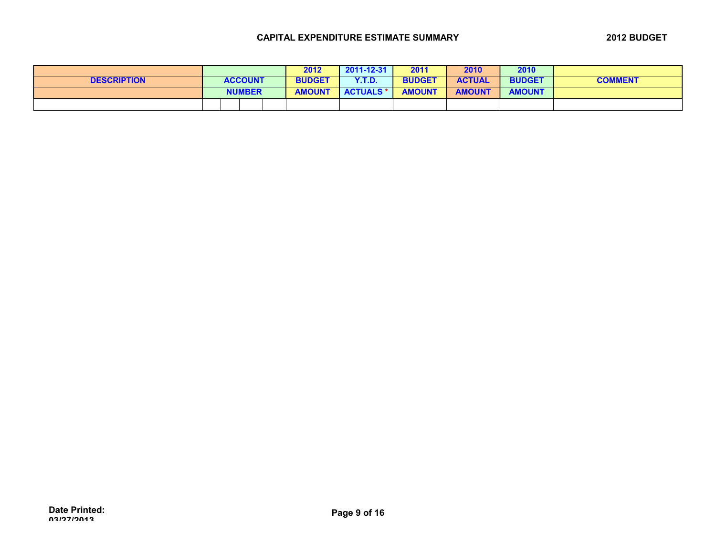|                    |                | 2012          | 2011-12-31       | 2011          | 2010          | 2010          |                |
|--------------------|----------------|---------------|------------------|---------------|---------------|---------------|----------------|
| <b>DESCRIPTION</b> | <b>ACCOUNT</b> | <b>BUDGET</b> | Y.T.D.           | <b>BUDGET</b> | <b>ACTUAL</b> | <b>BUDGET</b> | <b>COMMENT</b> |
|                    | <b>NUMBER</b>  | <b>AMOUNT</b> | <b>ACTUALS *</b> | <b>AMOUNT</b> | <b>AMOUNT</b> | <b>AMOUNT</b> |                |
|                    |                |               |                  |               |               |               |                |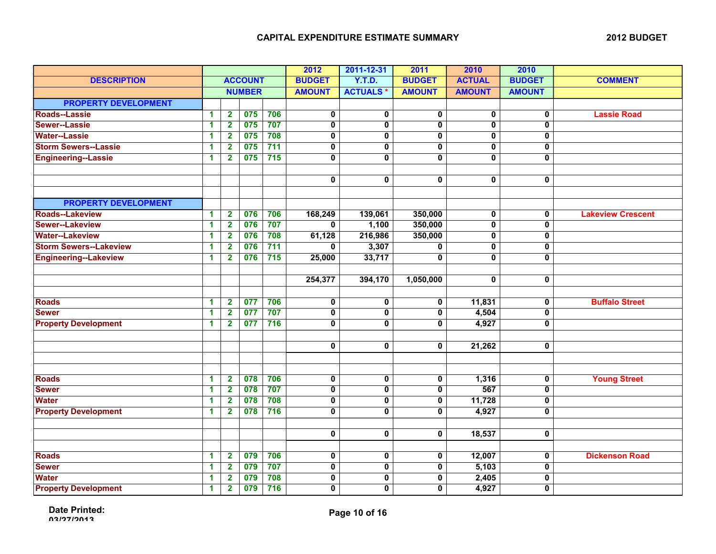|                               |   |                         |                | 2012             | 2011-12-31              | 2011                    | 2010                    | 2010                    |                         |                          |
|-------------------------------|---|-------------------------|----------------|------------------|-------------------------|-------------------------|-------------------------|-------------------------|-------------------------|--------------------------|
| <b>DESCRIPTION</b>            |   |                         | <b>ACCOUNT</b> |                  | <b>BUDGET</b>           | <b>Y.T.D.</b>           | <b>BUDGET</b>           | <b>ACTUAL</b>           | <b>BUDGET</b>           | <b>COMMENT</b>           |
|                               |   |                         | <b>NUMBER</b>  |                  | <b>AMOUNT</b>           | <b>ACTUALS*</b>         | <b>AMOUNT</b>           | <b>AMOUNT</b>           | <b>AMOUNT</b>           |                          |
| <b>PROPERTY DEVELOPMENT</b>   |   |                         |                |                  |                         |                         |                         |                         |                         |                          |
| <b>Roads--Lassie</b>          | 1 | $\overline{2}$          | 075            | 706              | 0                       | 0                       | 0                       | $\overline{\mathbf{0}}$ | 0                       | <b>Lassie Road</b>       |
| Sewer--Lassie                 | 1 | $\overline{2}$          | 075            | 707              | $\overline{\mathbf{0}}$ | $\overline{\mathbf{0}}$ | $\overline{\mathbf{0}}$ | $\overline{0}$          | $\overline{0}$          |                          |
| <b>Water--Lassie</b>          | 1 | $\overline{2}$          | 075            | 708              | 0                       | 0                       | 0                       | 0                       | 0                       |                          |
| <b>Storm Sewers--Lassie</b>   | 1 | $\overline{\mathbf{2}}$ | 075            | 711              | 0                       | $\mathbf 0$             | $\mathbf{0}$            | $\mathbf{0}$            | 0                       |                          |
| <b>Engineering--Lassie</b>    | 1 | $\overline{2}$          | 075            | $\overline{715}$ | 0                       | $\overline{\mathbf{0}}$ | 0                       | $\mathbf 0$             | 0                       |                          |
|                               |   |                         |                |                  |                         |                         |                         |                         |                         |                          |
|                               |   |                         |                |                  | 0                       | 0                       | 0                       | $\mathbf 0$             | 0                       |                          |
|                               |   |                         |                |                  |                         |                         |                         |                         |                         |                          |
| <b>PROPERTY DEVELOPMENT</b>   |   |                         |                |                  |                         |                         |                         |                         |                         |                          |
| <b>Roads--Lakeview</b>        | 1 | $\overline{2}$          | 076            | 706              | 168,249                 | 139,061                 | 350,000                 | $\overline{\mathbf{0}}$ | 0                       | <b>Lakeview Crescent</b> |
| Sewer--Lakeview               | 1 | $\overline{\mathbf{2}}$ | 076            | 707              | $\bf{0}$                | 1,100                   | 350,000                 | $\overline{\mathbf{0}}$ | 0                       |                          |
| <b>Water--Lakeview</b>        | 1 | $\mathbf{2}$            | 076            | 708              | 61,128                  | 216,986                 | 350,000                 | $\overline{\mathbf{0}}$ | 0                       |                          |
| <b>Storm Sewers--Lakeview</b> | 1 | $\mathbf{2}$            | 076            | 711              | 0                       | 3,307                   | 0                       | $\mathbf 0$             | 0                       |                          |
| <b>Engineering--Lakeview</b>  | 1 | $\overline{2}$          | 076            | 715              | 25,000                  | 33,717                  | $\overline{0}$          | $\overline{0}$          | $\overline{0}$          |                          |
|                               |   |                         |                |                  |                         |                         |                         |                         |                         |                          |
|                               |   |                         |                |                  | 254,377                 | 394,170                 | 1,050,000               | $\mathbf{0}$            | 0                       |                          |
|                               |   |                         |                |                  |                         |                         |                         |                         |                         |                          |
| <b>Roads</b>                  | 1 | $\mathbf{2}$            | 077            | 706              | $\mathbf 0$             | $\mathbf 0$             | 0                       | 11,831                  | 0                       | <b>Buffalo Street</b>    |
| <b>Sewer</b>                  | 1 | $\overline{2}$          | 077            | 707              | 0                       | 0                       | 0                       | 4,504                   | $\overline{\mathbf{0}}$ |                          |
| <b>Property Development</b>   | 1 | $\mathbf{2}$            | 077            | 716              | $\overline{\mathbf{0}}$ | $\overline{\mathbf{0}}$ | $\overline{0}$          | 4,927                   | $\overline{\mathbf{0}}$ |                          |
|                               |   |                         |                |                  |                         |                         |                         |                         |                         |                          |
|                               |   |                         |                |                  | 0                       | 0                       | 0                       | 21,262                  | 0                       |                          |
|                               |   |                         |                |                  |                         |                         |                         |                         |                         |                          |
|                               |   |                         |                |                  |                         |                         |                         |                         |                         |                          |
| <b>Roads</b>                  | 1 | $\mathbf{2}$            | 078            | 706              | $\overline{\textbf{0}}$ | $\overline{\textbf{0}}$ | 0                       | 1,316                   | 0                       | <b>Young Street</b>      |
| <b>Sewer</b>                  | 1 | $\overline{2}$          | 078            | 707              | $\overline{\mathbf{0}}$ | $\overline{\mathbf{0}}$ | $\overline{0}$          | 567                     | $\overline{\mathbf{0}}$ |                          |
| <b>Water</b>                  | 1 | $\overline{2}$          | 078            | 708              | 0                       | 0                       | 0                       | 11,728                  | 0                       |                          |
| <b>Property Development</b>   | 1 | $\overline{2}$          | 078            | 716              | 0                       | $\mathbf{0}$            | $\mathbf{0}$            | 4,927                   | 0                       |                          |
|                               |   |                         |                |                  |                         |                         |                         |                         |                         |                          |
|                               |   |                         |                |                  | $\pmb{0}$               | $\pmb{0}$               | 0                       | 18,537                  | 0                       |                          |
|                               |   |                         |                |                  |                         |                         |                         |                         |                         |                          |
| <b>Roads</b>                  | 1 | $\mathbf{2}$            | 079            | 706              | $\mathbf 0$             | 0                       | 0                       | 12,007                  | 0                       | <b>Dickenson Road</b>    |
| <b>Sewer</b>                  | 1 | $\overline{2}$          | 079            | 707              | $\overline{\mathbf{0}}$ | $\overline{\mathbf{0}}$ | 0                       | 5,103                   | 0                       |                          |
| <b>Water</b>                  | 1 | $\overline{\mathbf{2}}$ | 079            | 708              | 0                       | $\mathbf 0$             | 0                       | 2,405                   | 0                       |                          |
| <b>Property Development</b>   | 1 | $\overline{\mathbf{2}}$ | 079            | 716              | 0                       | 0                       | 0                       | 4,927                   | 0                       |                          |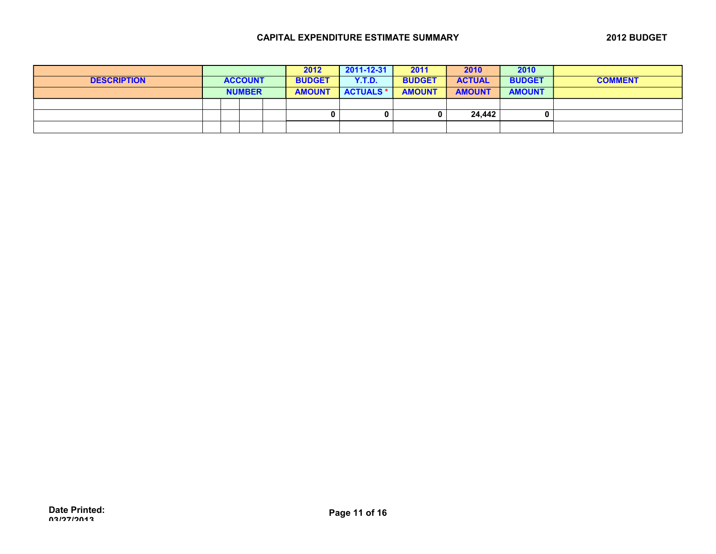|                    |  |                | 2012          | 2011-12-31       | 2011          | 2010          | 2010          |                |
|--------------------|--|----------------|---------------|------------------|---------------|---------------|---------------|----------------|
| <b>DESCRIPTION</b> |  | <b>ACCOUNT</b> | <b>BUDGET</b> | <b>Y.T.D.</b>    | <b>BUDGET</b> | <b>ACTUAL</b> | <b>BUDGET</b> | <b>COMMENT</b> |
|                    |  | <b>NUMBER</b>  | <b>AMOUNT</b> | <b>ACTUALS *</b> | <b>AMOUNT</b> | <b>AMOUNT</b> | <b>AMOUNT</b> |                |
|                    |  |                |               |                  |               |               |               |                |
|                    |  |                | o             | 0                |               | 24,442        |               |                |
|                    |  |                |               |                  |               |               |               |                |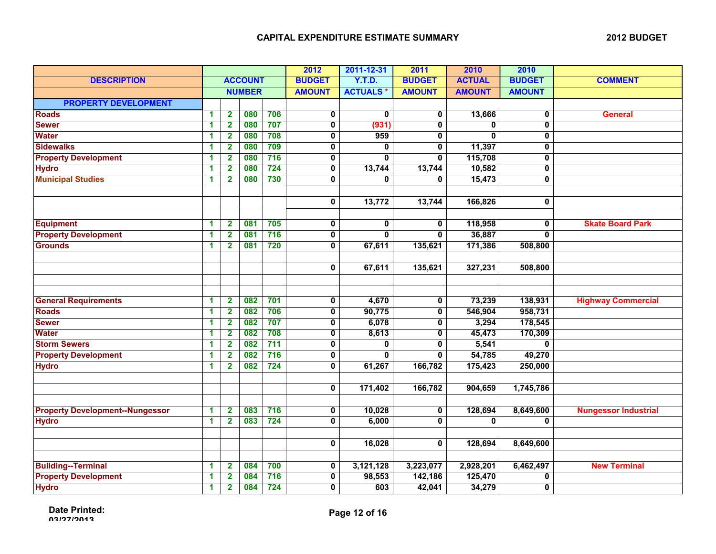|                                        |                      |                         |                |       | 2012                    | 2011-12-31      | 2011           | 2010          | 2010                    |                             |
|----------------------------------------|----------------------|-------------------------|----------------|-------|-------------------------|-----------------|----------------|---------------|-------------------------|-----------------------------|
| <b>DESCRIPTION</b>                     |                      |                         | <b>ACCOUNT</b> |       | <b>BUDGET</b>           | <b>Y.T.D.</b>   | <b>BUDGET</b>  | <b>ACTUAL</b> | <b>BUDGET</b>           | <b>COMMENT</b>              |
|                                        |                      |                         | <b>NUMBER</b>  |       | <b>AMOUNT</b>           | <b>ACTUALS*</b> | <b>AMOUNT</b>  | <b>AMOUNT</b> | <b>AMOUNT</b>           |                             |
| <b>PROPERTY DEVELOPMENT</b>            |                      |                         |                |       |                         |                 |                |               |                         |                             |
| <b>Roads</b>                           | $\blacktriangleleft$ | $\mathbf{2}$            | 080            | 706   | $\mathbf 0$             | $\mathbf{0}$    | $\mathbf 0$    | 13,666        | 0                       | <b>General</b>              |
| <b>Sewer</b>                           | $\blacktriangleleft$ | $\overline{2}$          | 080            | 707   | $\pmb{0}$               | (931)           | $\mathbf 0$    | $\mathbf{0}$  | 0                       |                             |
| <b>Water</b>                           | 1                    | $\overline{\mathbf{2}}$ | 080            | 708   | $\mathbf 0$             | 959             | 0              | $\bf{0}$      | 0                       |                             |
| <b>Sidewalks</b>                       | 1                    | $\mathbf{2}$            | 080            | 709   | 0                       | 0               | 0              | 11,397        | 0                       |                             |
| <b>Property Development</b>            | 1                    | $\mathbf{2}$            | 080            | 716   | $\pmb{0}$               | 0               | 0              | 115,708       | 0                       |                             |
| <b>Hydro</b>                           | 1                    | $\mathbf{2}$            | 080            | $724$ | $\overline{\mathbf{0}}$ | 13,744          | 13,744         | 10,582        | $\overline{\mathbf{0}}$ |                             |
| <b>Municipal Studies</b>               | 1                    | $\overline{2}$          | 080            | 730   | $\overline{\mathbf{0}}$ | $\mathbf 0$     | $\mathbf 0$    | 15,473        | $\overline{\mathbf{0}}$ |                             |
|                                        |                      |                         |                |       |                         |                 |                |               |                         |                             |
|                                        |                      |                         |                |       | $\mathbf 0$             | 13,772          | 13,744         | 166,826       | 0                       |                             |
| <b>Equipment</b>                       | $\blacktriangleleft$ | $\mathbf{2}$            | 081            | 705   | $\mathbf 0$             | $\mathbf 0$     | $\mathbf{0}$   | 118,958       | 0                       | <b>Skate Board Park</b>     |
| <b>Property Development</b>            | 1                    | $\mathbf{2}$            | 081            | 716   | $\mathbf 0$             | $\overline{0}$  | $\overline{0}$ | 36,887        | $\overline{0}$          |                             |
| <b>Grounds</b>                         | $\blacktriangleleft$ | $\overline{\mathbf{2}}$ | 081            | 720   | $\mathbf 0$             | 67,611          | 135,621        | 171,386       | 508,800                 |                             |
|                                        |                      |                         |                |       |                         |                 |                |               |                         |                             |
|                                        |                      |                         |                |       | $\mathbf 0$             | 67,611          | 135,621        | 327,231       | 508,800                 |                             |
|                                        |                      |                         |                |       |                         |                 |                |               |                         |                             |
| <b>General Requirements</b>            | 1                    | $\mathbf{2}$            | 082            | 701   | $\mathbf 0$             | 4,670           | $\mathbf 0$    | 73,239        | 138,931                 | <b>Highway Commercial</b>   |
| <b>Roads</b>                           | 1                    | $\overline{2}$          | 082            | 706   | $\mathbf 0$             | 90,775          | $\mathbf 0$    | 546,904       | 958,731                 |                             |
| <b>Sewer</b>                           | 1                    | $\mathbf{2}$            | 082            | 707   | $\mathbf 0$             | 6,078           | 0              | 3,294         | 178,545                 |                             |
| <b>Water</b>                           | 1                    | $\overline{\mathbf{2}}$ | 082            | 708   | $\overline{\mathbf{0}}$ | 8,613           | $\mathbf{0}$   | 45,473        | 170,309                 |                             |
| <b>Storm Sewers</b>                    | $\mathbf{1}$         | $\overline{\mathbf{2}}$ | 082            | 711   | $\bf{0}$                | $\bf{0}$        | $\mathbf{0}$   | 5,541         | $\bf{0}$                |                             |
| <b>Property Development</b>            | 1                    | $\overline{\mathbf{2}}$ | 082            | 716   | 0                       | $\mathbf{0}$    | $\mathbf{0}$   | 54,785        | 49,270                  |                             |
| <b>Hydro</b>                           | $\blacktriangleleft$ | $\overline{\mathbf{2}}$ | 082            | 724   | $\mathbf 0$             | 61,267          | 166,782        | 175,423       | 250,000                 |                             |
|                                        |                      |                         |                |       |                         |                 |                |               |                         |                             |
|                                        |                      |                         |                |       | $\mathbf 0$             | 171,402         | 166,782        | 904,659       | 1,745,786               |                             |
| <b>Property Development--Nungessor</b> | 1                    | $\mathbf{2}$            | 083            | 716   | 0                       | 10,028          | 0              | 128,694       | 8,649,600               | <b>Nungessor Industrial</b> |
| <b>Hydro</b>                           | 1                    | $\overline{2}$          | 083            | 724   | $\mathbf 0$             | 6,000           | $\mathbf 0$    | $\mathbf{0}$  | 0                       |                             |
|                                        |                      |                         |                |       |                         |                 |                |               |                         |                             |
|                                        |                      |                         |                |       | $\mathbf 0$             | 16,028          | $\mathbf 0$    | 128,694       | 8,649,600               |                             |
|                                        |                      |                         |                |       |                         |                 |                |               |                         |                             |
| <b>Building--Terminal</b>              | 1                    | $\mathbf{2}$            | 084            | 700   | $\mathbf 0$             | 3,121,128       | 3,223,077      | 2,928,201     | 6,462,497               | <b>New Terminal</b>         |
| <b>Property Development</b>            | 1                    | $\mathbf{2}$            | 084            | 716   | $\mathbf 0$             | 98,553          | 142,186        | 125,470       | 0                       |                             |
| <b>Hydro</b>                           | 1                    | $\overline{\mathbf{2}}$ | 084            | 724   | 0                       | 603             | 42,041         | 34,279        | 0                       |                             |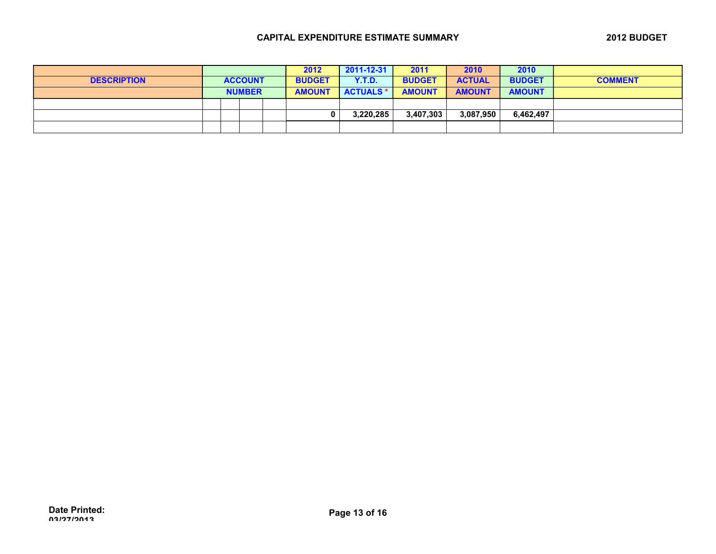|                    |                |  |  |  | 2012          | 2011-12-31       | 2011          | 2010          | 2010          |                |
|--------------------|----------------|--|--|--|---------------|------------------|---------------|---------------|---------------|----------------|
| <b>DESCRIPTION</b> | <b>ACCOUNT</b> |  |  |  | <b>BUDGET</b> | <b>Y.T.D.</b>    | <b>BUDGET</b> | <b>ACTUAL</b> | <b>BUDGET</b> | <b>COMMENT</b> |
|                    | <b>NUMBER</b>  |  |  |  | <b>AMOUNT</b> | <b>ACTUALS *</b> | <b>AMOUNT</b> | <b>AMOUNT</b> | <b>AMOUNT</b> |                |
|                    |                |  |  |  |               |                  |               |               |               |                |
|                    |                |  |  |  |               | 3.220.285        | 3,407,303     | 3,087,950     | 6,462,497     |                |
|                    |                |  |  |  |               |                  |               |               |               |                |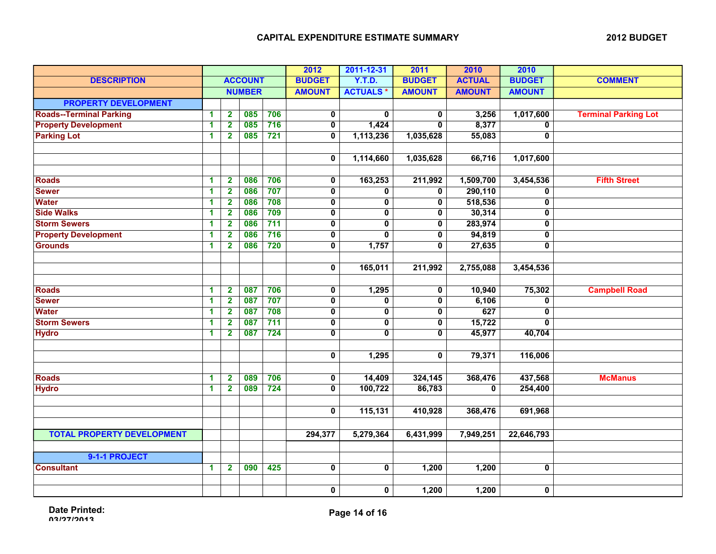|                                   | <b>ACCOUNT</b> |                         |               |                 | 2012                    | 2011-12-31              | 2011                    | 2010          | 2010           |                             |
|-----------------------------------|----------------|-------------------------|---------------|-----------------|-------------------------|-------------------------|-------------------------|---------------|----------------|-----------------------------|
| <b>DESCRIPTION</b>                |                |                         |               |                 | <b>BUDGET</b>           | <b>Y.T.D.</b>           | <b>BUDGET</b>           | <b>ACTUAL</b> | <b>BUDGET</b>  | <b>COMMENT</b>              |
|                                   | <b>NUMBER</b>  |                         | <b>AMOUNT</b> | <b>ACTUALS*</b> | <b>AMOUNT</b>           | <b>AMOUNT</b>           | <b>AMOUNT</b>           |               |                |                             |
| <b>PROPERTY DEVELOPMENT</b>       |                |                         |               |                 |                         |                         |                         |               |                |                             |
| <b>Roads--Terminal Parking</b>    | 1              | $\mathbf{2}$            | 085           | 706             | $\mathbf 0$             | 0                       | $\mathbf{0}$            | 3,256         | 1,017,600      | <b>Terminal Parking Lot</b> |
| <b>Property Development</b>       | 1              | $\overline{\mathbf{2}}$ | 085           | 716             | $\mathbf 0$             | 1,424                   | $\mathbf{0}$            | 8,377         | $\mathbf 0$    |                             |
| <b>Parking Lot</b>                | 1              | $\mathbf{2}$            | 085           | 721             | 0                       | 1,113,236               | 1,035,628               | 55,083        | 0              |                             |
|                                   |                |                         |               |                 |                         |                         |                         |               |                |                             |
|                                   |                |                         |               |                 | $\mathbf 0$             | 1,114,660               | 1,035,628               | 66,716        | 1,017,600      |                             |
|                                   |                |                         |               |                 |                         |                         |                         |               |                |                             |
| <b>Roads</b>                      | 1              | $\mathbf{2}$            | 086           | 706             | $\mathbf 0$             | 163,253                 | 211,992                 | 1,509,700     | 3,454,536      | <b>Fifth Street</b>         |
| <b>Sewer</b>                      | 1              | $\overline{\mathbf{2}}$ | 086           | 707             | $\overline{\mathbf{0}}$ | $\pmb{0}$               | 0                       | 290,110       | 0              |                             |
| <b>Water</b>                      | 1              | $\mathbf{2}$            | 086           | 708             | $\mathbf 0$             | 0                       | 0                       | 518,536       | 0              |                             |
| <b>Side Walks</b>                 | 1              | $\overline{\mathbf{2}}$ | 086           | 709             | $\overline{\mathbf{0}}$ | $\overline{\mathbf{0}}$ | $\mathbf{0}$            | 30,314        | 0              |                             |
| <b>Storm Sewers</b>               | 1              | $\overline{\mathbf{2}}$ | 086           | 711             | $\mathbf 0$             | $\overline{\mathbf{0}}$ | $\mathbf 0$             | 283,974       | 0              |                             |
| <b>Property Development</b>       | 1              | $\overline{\mathbf{2}}$ | 086           | 716             | $\mathbf 0$             | $\overline{0}$          | $\mathbf 0$             | 94,819        | 0              |                             |
| <b>Grounds</b>                    | 1              | $\mathbf{2}$            | 086           | 720             | 0                       | 1,757                   | $\mathbf 0$             | 27,635        | 0              |                             |
|                                   |                |                         |               |                 |                         |                         |                         |               |                |                             |
|                                   |                |                         |               |                 | $\pmb{0}$               | 165,011                 | 211,992                 | 2,755,088     | 3,454,536      |                             |
|                                   |                |                         |               |                 |                         |                         |                         |               |                |                             |
| <b>Roads</b>                      | 1              | $\mathbf{2}$            | 087           | 706             | $\mathbf 0$             | 1,295                   | $\mathbf 0$             | 10,940        | 75,302         | <b>Campbell Road</b>        |
| <b>Sewer</b>                      | 1              | $\mathbf{2}$            | 087           | 707             | $\overline{\mathbf{0}}$ | 0                       | $\overline{\mathbf{0}}$ | 6,106         | 0              |                             |
| <b>Water</b>                      | 1              | $\mathbf{2}$            | 087           | 708             | $\mathbf 0$             | 0                       | 0                       | 627           | 0              |                             |
| <b>Storm Sewers</b>               | 1              | $\overline{\mathbf{2}}$ | 087           | 711             | $\overline{\mathbf{0}}$ | $\overline{\mathbf{0}}$ | $\mathbf{0}$            | 15,722        | $\overline{0}$ |                             |
| <b>Hydro</b>                      | 1              | $\mathbf{2}$            | 087           | 724             | $\mathbf 0$             | $\overline{0}$          | $\mathbf{0}$            | 45,977        | 40,704         |                             |
|                                   |                |                         |               |                 |                         |                         |                         |               |                |                             |
|                                   |                |                         |               |                 | $\mathbf 0$             | 1,295                   | $\mathbf{0}$            | 79,371        | 116,006        |                             |
|                                   |                |                         |               |                 |                         |                         |                         |               |                |                             |
| <b>Roads</b>                      | 1              | $\mathbf{2}$            | 089           | 706             | 0                       | 14,409                  | 324,145                 | 368,476       | 437,568        | <b>McManus</b>              |
| <b>Hydro</b>                      | 1              | $\mathbf{2}$            | 089           | 724             | $\mathbf 0$             | 100,722                 | 86,783                  | $\mathbf{0}$  | 254,400        |                             |
|                                   |                |                         |               |                 |                         |                         |                         |               |                |                             |
|                                   |                |                         |               |                 | $\mathbf 0$             | 115,131                 | 410,928                 | 368,476       | 691,968        |                             |
|                                   |                |                         |               |                 |                         |                         |                         |               |                |                             |
| <b>TOTAL PROPERTY DEVELOPMENT</b> |                |                         |               |                 | 294,377                 | 5,279,364               | 6,431,999               | 7,949,251     | 22,646,793     |                             |
|                                   |                |                         |               |                 |                         |                         |                         |               |                |                             |
| 9-1-1 PROJECT                     |                |                         |               |                 |                         |                         |                         |               |                |                             |
| <b>Consultant</b>                 | 1              | $\mathbf{2}$            | 090           | 425             | $\mathbf 0$             | $\mathbf 0$             | 1,200                   | 1,200         | $\mathbf 0$    |                             |
|                                   |                |                         |               |                 |                         |                         |                         |               |                |                             |
|                                   |                |                         |               |                 | 0                       | 0                       | 1,200                   | 1,200         | $\mathbf 0$    |                             |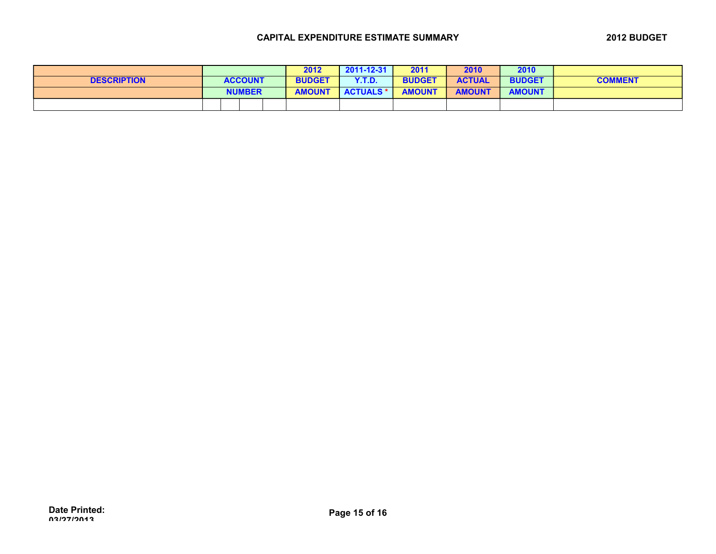|                    |                | 2012          | $2011 - 12 - 31$ | 2011          | 2010          | 2010          |                |
|--------------------|----------------|---------------|------------------|---------------|---------------|---------------|----------------|
| <b>DESCRIPTION</b> | <b>ACCOUNT</b> | <b>BUDGET</b> | Y.T.D.           | <b>BUDGET</b> | <b>ACTUAL</b> | <b>BUDGET</b> | <b>COMMENT</b> |
|                    | <b>NUMBER</b>  | <b>AMOUNT</b> | <b>ACTUALS *</b> | <b>AMOUNT</b> | <b>AMOUNT</b> | <b>AMOUNT</b> |                |
|                    |                |               |                  |               |               |               |                |